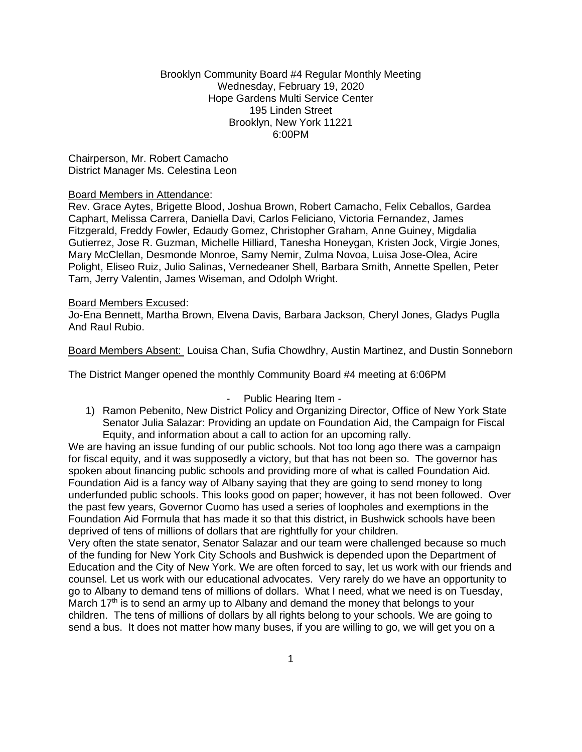## Brooklyn Community Board #4 Regular Monthly Meeting Wednesday, February 19, 2020 Hope Gardens Multi Service Center 195 Linden Street Brooklyn, New York 11221 6:00PM

### Chairperson, Mr. Robert Camacho District Manager Ms. Celestina Leon

#### Board Members in Attendance:

Rev. Grace Aytes, Brigette Blood, Joshua Brown, Robert Camacho, Felix Ceballos, Gardea Caphart, Melissa Carrera, Daniella Davi, Carlos Feliciano, Victoria Fernandez, James Fitzgerald, Freddy Fowler, Edaudy Gomez, Christopher Graham, Anne Guiney, Migdalia Gutierrez, Jose R. Guzman, Michelle Hilliard, Tanesha Honeygan, Kristen Jock, Virgie Jones, Mary McClellan, Desmonde Monroe, Samy Nemir, Zulma Novoa, Luisa Jose-Olea, Acire Polight, Eliseo Ruiz, Julio Salinas, Vernedeaner Shell, Barbara Smith, Annette Spellen, Peter Tam, Jerry Valentin, James Wiseman, and Odolph Wright.

#### Board Members Excused:

Jo-Ena Bennett, Martha Brown, Elvena Davis, Barbara Jackson, Cheryl Jones, Gladys Puglla And Raul Rubio.

Board Members Absent: Louisa Chan, Sufia Chowdhry, Austin Martinez, and Dustin Sonneborn

The District Manger opened the monthly Community Board #4 meeting at 6:06PM

## - Public Hearing Item -

1) Ramon Pebenito, New District Policy and Organizing Director, Office of New York State Senator Julia Salazar: Providing an update on Foundation Aid, the Campaign for Fiscal Equity, and information about a call to action for an upcoming rally.

We are having an issue funding of our public schools. Not too long ago there was a campaign for fiscal equity, and it was supposedly a victory, but that has not been so. The governor has spoken about financing public schools and providing more of what is called Foundation Aid. Foundation Aid is a fancy way of Albany saying that they are going to send money to long underfunded public schools. This looks good on paper; however, it has not been followed. Over the past few years, Governor Cuomo has used a series of loopholes and exemptions in the Foundation Aid Formula that has made it so that this district, in Bushwick schools have been deprived of tens of millions of dollars that are rightfully for your children.

Very often the state senator, Senator Salazar and our team were challenged because so much of the funding for New York City Schools and Bushwick is depended upon the Department of Education and the City of New York. We are often forced to say, let us work with our friends and counsel. Let us work with our educational advocates. Very rarely do we have an opportunity to go to Albany to demand tens of millions of dollars. What I need, what we need is on Tuesday, March  $17<sup>th</sup>$  is to send an army up to Albany and demand the money that belongs to your children. The tens of millions of dollars by all rights belong to your schools. We are going to send a bus. It does not matter how many buses, if you are willing to go, we will get you on a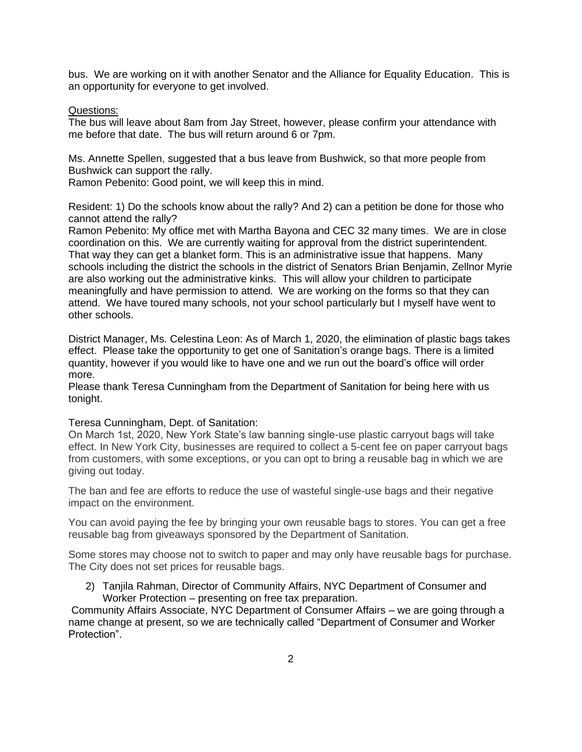bus. We are working on it with another Senator and the Alliance for Equality Education. This is an opportunity for everyone to get involved.

### Questions:

The bus will leave about 8am from Jay Street, however, please confirm your attendance with me before that date. The bus will return around 6 or 7pm.

Ms. Annette Spellen, suggested that a bus leave from Bushwick, so that more people from Bushwick can support the rally.

Ramon Pebenito: Good point, we will keep this in mind.

Resident: 1) Do the schools know about the rally? And 2) can a petition be done for those who cannot attend the rally?

Ramon Pebenito: My office met with Martha Bayona and CEC 32 many times. We are in close coordination on this. We are currently waiting for approval from the district superintendent. That way they can get a blanket form. This is an administrative issue that happens. Many schools including the district the schools in the district of Senators Brian Benjamin, Zellnor Myrie are also working out the administrative kinks. This will allow your children to participate meaningfully and have permission to attend. We are working on the forms so that they can attend. We have toured many schools, not your school particularly but I myself have went to other schools.

District Manager, Ms. Celestina Leon: As of March 1, 2020, the elimination of plastic bags takes effect. Please take the opportunity to get one of Sanitation's orange bags. There is a limited quantity, however if you would like to have one and we run out the board's office will order more.

Please thank Teresa Cunningham from the Department of Sanitation for being here with us tonight.

#### Teresa Cunningham, Dept. of Sanitation:

On March 1st, 2020, New York State's law banning single-use plastic carryout bags will take effect. In New York City, businesses are required to collect a 5-cent fee on paper carryout bags from customers, with some exceptions, or you can opt to bring a reusable bag in which we are giving out today.

The ban and fee are efforts to reduce the use of wasteful single-use bags and their negative impact on the environment.

You can avoid paying the fee by bringing your own reusable bags to stores. You can get a free reusable bag from giveaways sponsored by the Department of Sanitation.

Some stores may choose not to switch to paper and may only have reusable bags for purchase. The City does not set prices for reusable bags.

2) Taniila Rahman, Director of Community Affairs, NYC Department of Consumer and Worker Protection – presenting on free tax preparation.

Community Affairs Associate, NYC Department of Consumer Affairs – we are going through a name change at present, so we are technically called "Department of Consumer and Worker Protection".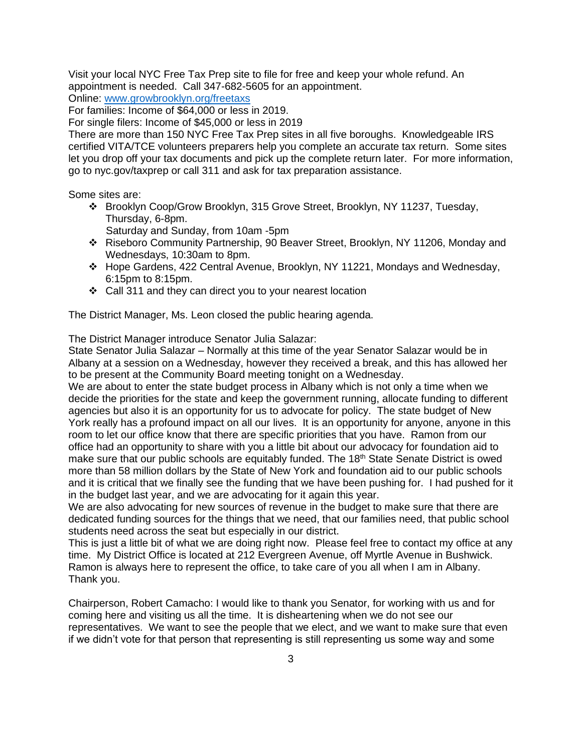Visit your local NYC Free Tax Prep site to file for free and keep your whole refund. An appointment is needed. Call 347-682-5605 for an appointment.

Online: [www.growbrooklyn.org/freetaxs](http://www.growbrooklyn.org/freetaxs)

For families: Income of \$64,000 or less in 2019.

For single filers: Income of \$45,000 or less in 2019

There are more than 150 NYC Free Tax Prep sites in all five boroughs. Knowledgeable IRS certified VITA/TCE volunteers preparers help you complete an accurate tax return. Some sites let you drop off your tax documents and pick up the complete return later. For more information, go to nyc.gov/taxprep or call 311 and ask for tax preparation assistance.

Some sites are:

❖ Brooklyn Coop/Grow Brooklyn, 315 Grove Street, Brooklyn, NY 11237, Tuesday, Thursday, 6-8pm.

Saturday and Sunday, from 10am -5pm

- ❖ Riseboro Community Partnership, 90 Beaver Street, Brooklyn, NY 11206, Monday and Wednesdays, 10:30am to 8pm.
- ❖ Hope Gardens, 422 Central Avenue, Brooklyn, NY 11221, Mondays and Wednesday, 6:15pm to 8:15pm.
- ❖ Call 311 and they can direct you to your nearest location

The District Manager, Ms. Leon closed the public hearing agenda.

The District Manager introduce Senator Julia Salazar:

State Senator Julia Salazar – Normally at this time of the year Senator Salazar would be in Albany at a session on a Wednesday, however they received a break, and this has allowed her to be present at the Community Board meeting tonight on a Wednesday.

We are about to enter the state budget process in Albany which is not only a time when we decide the priorities for the state and keep the government running, allocate funding to different agencies but also it is an opportunity for us to advocate for policy. The state budget of New York really has a profound impact on all our lives. It is an opportunity for anyone, anyone in this room to let our office know that there are specific priorities that you have. Ramon from our office had an opportunity to share with you a little bit about our advocacy for foundation aid to make sure that our public schools are equitably funded. The 18<sup>th</sup> State Senate District is owed more than 58 million dollars by the State of New York and foundation aid to our public schools and it is critical that we finally see the funding that we have been pushing for. I had pushed for it in the budget last year, and we are advocating for it again this year.

We are also advocating for new sources of revenue in the budget to make sure that there are dedicated funding sources for the things that we need, that our families need, that public school students need across the seat but especially in our district.

This is just a little bit of what we are doing right now. Please feel free to contact my office at any time. My District Office is located at 212 Evergreen Avenue, off Myrtle Avenue in Bushwick. Ramon is always here to represent the office, to take care of you all when I am in Albany. Thank you.

Chairperson, Robert Camacho: I would like to thank you Senator, for working with us and for coming here and visiting us all the time. It is disheartening when we do not see our representatives. We want to see the people that we elect, and we want to make sure that even if we didn't vote for that person that representing is still representing us some way and some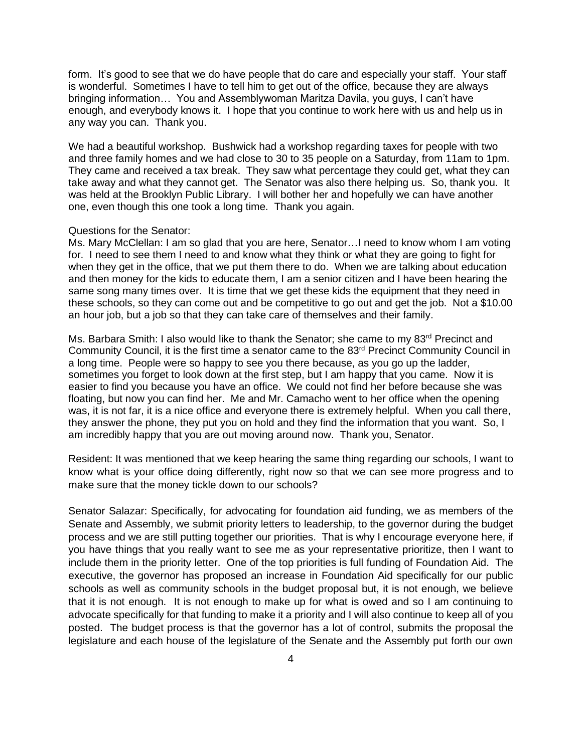form. It's good to see that we do have people that do care and especially your staff. Your staff is wonderful. Sometimes I have to tell him to get out of the office, because they are always bringing information… You and Assemblywoman Maritza Davila, you guys, I can't have enough, and everybody knows it. I hope that you continue to work here with us and help us in any way you can. Thank you.

We had a beautiful workshop. Bushwick had a workshop regarding taxes for people with two and three family homes and we had close to 30 to 35 people on a Saturday, from 11am to 1pm. They came and received a tax break. They saw what percentage they could get, what they can take away and what they cannot get. The Senator was also there helping us. So, thank you. It was held at the Brooklyn Public Library. I will bother her and hopefully we can have another one, even though this one took a long time. Thank you again.

#### Questions for the Senator:

Ms. Mary McClellan: I am so glad that you are here, Senator…I need to know whom I am voting for. I need to see them I need to and know what they think or what they are going to fight for when they get in the office, that we put them there to do. When we are talking about education and then money for the kids to educate them, I am a senior citizen and I have been hearing the same song many times over. It is time that we get these kids the equipment that they need in these schools, so they can come out and be competitive to go out and get the job. Not a \$10.00 an hour job, but a job so that they can take care of themselves and their family.

Ms. Barbara Smith: I also would like to thank the Senator; she came to my 83<sup>rd</sup> Precinct and Community Council, it is the first time a senator came to the 83<sup>rd</sup> Precinct Community Council in a long time. People were so happy to see you there because, as you go up the ladder, sometimes you forget to look down at the first step, but I am happy that you came. Now it is easier to find you because you have an office. We could not find her before because she was floating, but now you can find her. Me and Mr. Camacho went to her office when the opening was, it is not far, it is a nice office and everyone there is extremely helpful. When you call there, they answer the phone, they put you on hold and they find the information that you want. So, I am incredibly happy that you are out moving around now. Thank you, Senator.

Resident: It was mentioned that we keep hearing the same thing regarding our schools, I want to know what is your office doing differently, right now so that we can see more progress and to make sure that the money tickle down to our schools?

Senator Salazar: Specifically, for advocating for foundation aid funding, we as members of the Senate and Assembly, we submit priority letters to leadership, to the governor during the budget process and we are still putting together our priorities. That is why I encourage everyone here, if you have things that you really want to see me as your representative prioritize, then I want to include them in the priority letter. One of the top priorities is full funding of Foundation Aid. The executive, the governor has proposed an increase in Foundation Aid specifically for our public schools as well as community schools in the budget proposal but, it is not enough, we believe that it is not enough. It is not enough to make up for what is owed and so I am continuing to advocate specifically for that funding to make it a priority and I will also continue to keep all of you posted. The budget process is that the governor has a lot of control, submits the proposal the legislature and each house of the legislature of the Senate and the Assembly put forth our own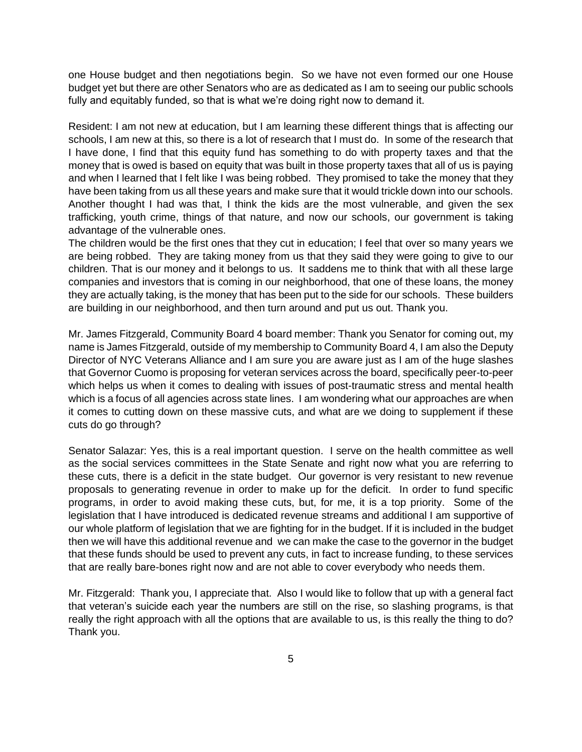one House budget and then negotiations begin. So we have not even formed our one House budget yet but there are other Senators who are as dedicated as I am to seeing our public schools fully and equitably funded, so that is what we're doing right now to demand it.

Resident: I am not new at education, but I am learning these different things that is affecting our schools, I am new at this, so there is a lot of research that I must do. In some of the research that I have done, I find that this equity fund has something to do with property taxes and that the money that is owed is based on equity that was built in those property taxes that all of us is paying and when I learned that I felt like I was being robbed. They promised to take the money that they have been taking from us all these years and make sure that it would trickle down into our schools. Another thought I had was that, I think the kids are the most vulnerable, and given the sex trafficking, youth crime, things of that nature, and now our schools, our government is taking advantage of the vulnerable ones.

The children would be the first ones that they cut in education; I feel that over so many years we are being robbed. They are taking money from us that they said they were going to give to our children. That is our money and it belongs to us. It saddens me to think that with all these large companies and investors that is coming in our neighborhood, that one of these loans, the money they are actually taking, is the money that has been put to the side for our schools. These builders are building in our neighborhood, and then turn around and put us out. Thank you.

Mr. James Fitzgerald, Community Board 4 board member: Thank you Senator for coming out, my name is James Fitzgerald, outside of my membership to Community Board 4, I am also the Deputy Director of NYC Veterans Alliance and I am sure you are aware just as I am of the huge slashes that Governor Cuomo is proposing for veteran services across the board, specifically peer-to-peer which helps us when it comes to dealing with issues of post-traumatic stress and mental health which is a focus of all agencies across state lines. I am wondering what our approaches are when it comes to cutting down on these massive cuts, and what are we doing to supplement if these cuts do go through?

Senator Salazar: Yes, this is a real important question. I serve on the health committee as well as the social services committees in the State Senate and right now what you are referring to these cuts, there is a deficit in the state budget. Our governor is very resistant to new revenue proposals to generating revenue in order to make up for the deficit. In order to fund specific programs, in order to avoid making these cuts, but, for me, it is a top priority. Some of the legislation that I have introduced is dedicated revenue streams and additional I am supportive of our whole platform of legislation that we are fighting for in the budget. If it is included in the budget then we will have this additional revenue and we can make the case to the governor in the budget that these funds should be used to prevent any cuts, in fact to increase funding, to these services that are really bare-bones right now and are not able to cover everybody who needs them.

Mr. Fitzgerald: Thank you, I appreciate that. Also I would like to follow that up with a general fact that veteran's suicide each year the numbers are still on the rise, so slashing programs, is that really the right approach with all the options that are available to us, is this really the thing to do? Thank you.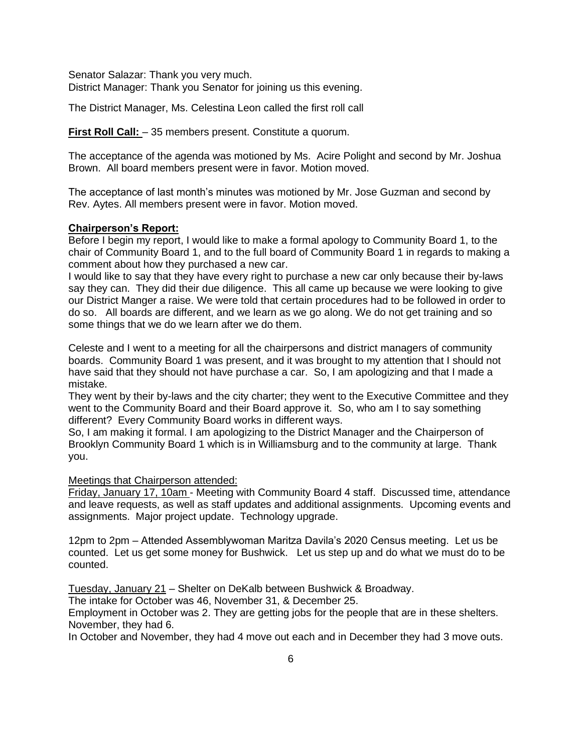Senator Salazar: Thank you very much. District Manager: Thank you Senator for joining us this evening.

The District Manager, Ms. Celestina Leon called the first roll call

**First Roll Call:**  $-35$  members present. Constitute a quorum.

The acceptance of the agenda was motioned by Ms. Acire Polight and second by Mr. Joshua Brown. All board members present were in favor. Motion moved.

The acceptance of last month's minutes was motioned by Mr. Jose Guzman and second by Rev. Aytes. All members present were in favor. Motion moved.

## **Chairperson's Report:**

Before I begin my report, I would like to make a formal apology to Community Board 1, to the chair of Community Board 1, and to the full board of Community Board 1 in regards to making a comment about how they purchased a new car.

I would like to say that they have every right to purchase a new car only because their by-laws say they can. They did their due diligence. This all came up because we were looking to give our District Manger a raise. We were told that certain procedures had to be followed in order to do so. All boards are different, and we learn as we go along. We do not get training and so some things that we do we learn after we do them.

Celeste and I went to a meeting for all the chairpersons and district managers of community boards. Community Board 1 was present, and it was brought to my attention that I should not have said that they should not have purchase a car. So, I am apologizing and that I made a mistake.

They went by their by-laws and the city charter; they went to the Executive Committee and they went to the Community Board and their Board approve it. So, who am I to say something different? Every Community Board works in different ways.

So, I am making it formal. I am apologizing to the District Manager and the Chairperson of Brooklyn Community Board 1 which is in Williamsburg and to the community at large. Thank you.

## Meetings that Chairperson attended:

Friday, January 17, 10am - Meeting with Community Board 4 staff. Discussed time, attendance and leave requests, as well as staff updates and additional assignments. Upcoming events and assignments. Major project update. Technology upgrade.

12pm to 2pm – Attended Assemblywoman Maritza Davila's 2020 Census meeting. Let us be counted. Let us get some money for Bushwick. Let us step up and do what we must do to be counted.

Tuesday, January 21 – Shelter on DeKalb between Bushwick & Broadway.

The intake for October was 46, November 31, & December 25.

Employment in October was 2. They are getting jobs for the people that are in these shelters. November, they had 6.

In October and November, they had 4 move out each and in December they had 3 move outs.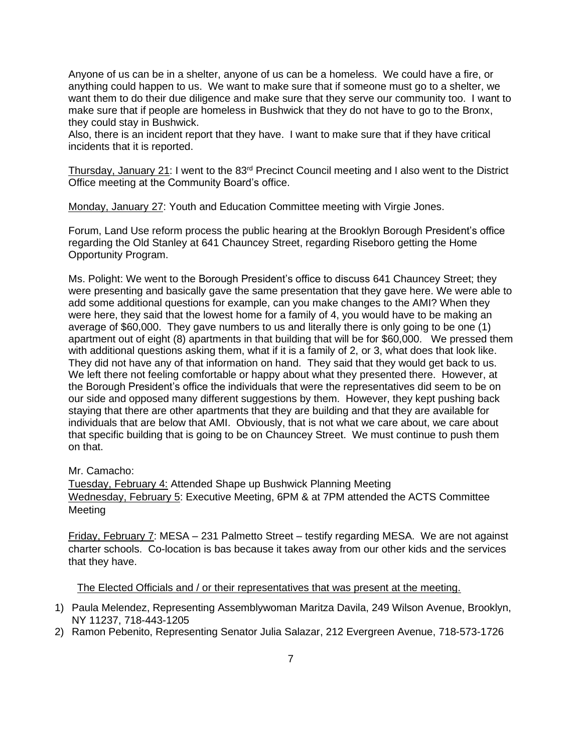Anyone of us can be in a shelter, anyone of us can be a homeless. We could have a fire, or anything could happen to us. We want to make sure that if someone must go to a shelter, we want them to do their due diligence and make sure that they serve our community too. I want to make sure that if people are homeless in Bushwick that they do not have to go to the Bronx, they could stay in Bushwick.

Also, there is an incident report that they have. I want to make sure that if they have critical incidents that it is reported.

Thursday, January 21: I went to the 83rd Precinct Council meeting and I also went to the District Office meeting at the Community Board's office.

Monday, January 27: Youth and Education Committee meeting with Virgie Jones.

Forum, Land Use reform process the public hearing at the Brooklyn Borough President's office regarding the Old Stanley at 641 Chauncey Street, regarding Riseboro getting the Home Opportunity Program.

Ms. Polight: We went to the Borough President's office to discuss 641 Chauncey Street; they were presenting and basically gave the same presentation that they gave here. We were able to add some additional questions for example, can you make changes to the AMI? When they were here, they said that the lowest home for a family of 4, you would have to be making an average of \$60,000. They gave numbers to us and literally there is only going to be one (1) apartment out of eight (8) apartments in that building that will be for \$60,000. We pressed them with additional questions asking them, what if it is a family of 2, or 3, what does that look like. They did not have any of that information on hand. They said that they would get back to us. We left there not feeling comfortable or happy about what they presented there. However, at the Borough President's office the individuals that were the representatives did seem to be on our side and opposed many different suggestions by them. However, they kept pushing back staying that there are other apartments that they are building and that they are available for individuals that are below that AMI. Obviously, that is not what we care about, we care about that specific building that is going to be on Chauncey Street. We must continue to push them on that.

### Mr. Camacho:

Tuesday, February 4: Attended Shape up Bushwick Planning Meeting Wednesday, February 5: Executive Meeting, 6PM & at 7PM attended the ACTS Committee Meeting

Friday, February 7: MESA – 231 Palmetto Street – testify regarding MESA. We are not against charter schools. Co-location is bas because it takes away from our other kids and the services that they have.

The Elected Officials and / or their representatives that was present at the meeting.

- 1) Paula Melendez, Representing Assemblywoman Maritza Davila, 249 Wilson Avenue, Brooklyn, NY 11237, 718-443-1205
- 2) Ramon Pebenito, Representing Senator Julia Salazar, 212 Evergreen Avenue, 718-573-1726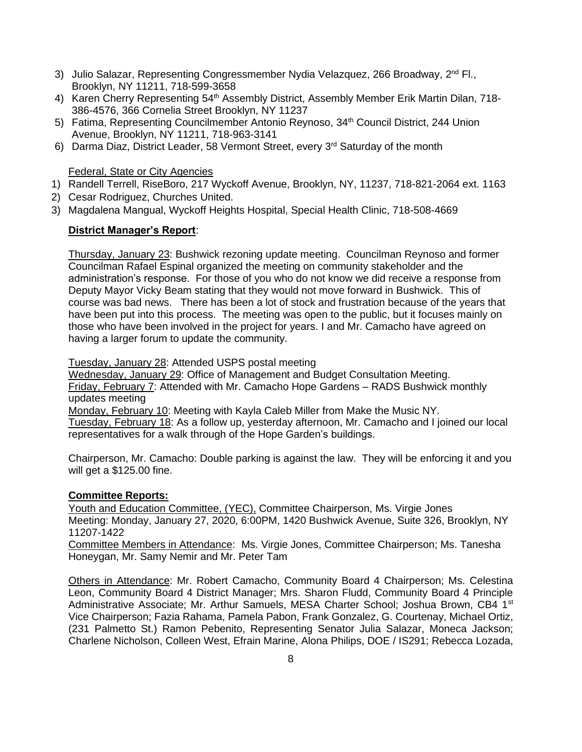- 3) Julio Salazar, Representing Congressmember Nydia Velazquez, 266 Broadway, 2<sup>nd</sup> Fl., Brooklyn, NY 11211, 718-599-3658
- 4) Karen Cherry Representing 54<sup>th</sup> Assembly District, Assembly Member Erik Martin Dilan, 718-386-4576, 366 Cornelia Street Brooklyn, NY 11237
- 5) Fatima, Representing Councilmember Antonio Reynoso, 34th Council District, 244 Union Avenue, Brooklyn, NY 11211, 718-963-3141
- 6) Darma Diaz, District Leader, 58 Vermont Street, every 3<sup>rd</sup> Saturday of the month

Federal, State or City Agencies

- 1) Randell Terrell, RiseBoro, 217 Wyckoff Avenue, Brooklyn, NY, 11237, 718-821-2064 ext. 1163
- 2) Cesar Rodriguez, Churches United.
- 3) Magdalena Mangual, Wyckoff Heights Hospital, Special Health Clinic, 718-508-4669

## **District Manager's Report**:

Thursday, January 23: Bushwick rezoning update meeting. Councilman Reynoso and former Councilman Rafael Espinal organized the meeting on community stakeholder and the administration's response. For those of you who do not know we did receive a response from Deputy Mayor Vicky Beam stating that they would not move forward in Bushwick. This of course was bad news. There has been a lot of stock and frustration because of the years that have been put into this process. The meeting was open to the public, but it focuses mainly on those who have been involved in the project for years. I and Mr. Camacho have agreed on having a larger forum to update the community.

Tuesday, January 28: Attended USPS postal meeting

Wednesday, January 29: Office of Management and Budget Consultation Meeting. Friday, February 7: Attended with Mr. Camacho Hope Gardens – RADS Bushwick monthly updates meeting

Monday, February 10: Meeting with Kayla Caleb Miller from Make the Music NY.

Tuesday, February 18: As a follow up, yesterday afternoon, Mr. Camacho and I joined our local representatives for a walk through of the Hope Garden's buildings.

Chairperson, Mr. Camacho: Double parking is against the law. They will be enforcing it and you will get a \$125.00 fine.

# **Committee Reports:**

Youth and Education Committee, (YEC), Committee Chairperson, Ms. Virgie Jones Meeting: Monday, January 27, 2020, 6:00PM, 1420 Bushwick Avenue, Suite 326, Brooklyn, NY 11207-1422

Committee Members in Attendance: Ms. Virgie Jones, Committee Chairperson; Ms. Tanesha Honeygan, Mr. Samy Nemir and Mr. Peter Tam

Others in Attendance: Mr. Robert Camacho, Community Board 4 Chairperson; Ms. Celestina Leon, Community Board 4 District Manager; Mrs. Sharon Fludd, Community Board 4 Principle Administrative Associate; Mr. Arthur Samuels, MESA Charter School; Joshua Brown, CB4 1<sup>st</sup> Vice Chairperson; Fazia Rahama, Pamela Pabon, Frank Gonzalez, G. Courtenay, Michael Ortiz, (231 Palmetto St.) Ramon Pebenito, Representing Senator Julia Salazar, Moneca Jackson; Charlene Nicholson, Colleen West, Efrain Marine, Alona Philips, DOE / IS291; Rebecca Lozada,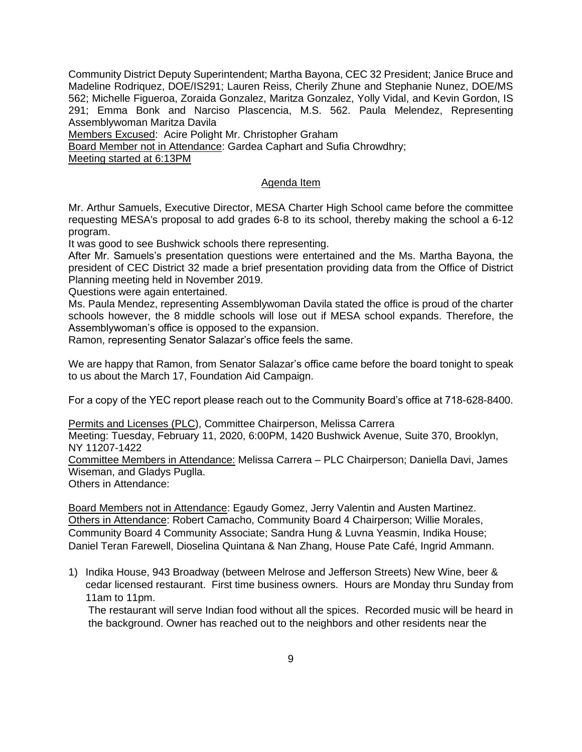Community District Deputy Superintendent; Martha Bayona, CEC 32 President; Janice Bruce and Madeline Rodriquez, DOE/IS291; Lauren Reiss, Cherily Zhune and Stephanie Nunez, DOE/MS 562; Michelle Figueroa, Zoraida Gonzalez, Maritza Gonzalez, Yolly Vidal, and Kevin Gordon, IS 291; Emma Bonk and Narciso Plascencia, M.S. 562. Paula Melendez, Representing Assemblywoman Maritza Davila

Members Excused: Acire Polight Mr. Christopher Graham

Board Member not in Attendance: Gardea Caphart and Sufia Chrowdhry;

Meeting started at 6:13PM

## Agenda Item

Mr. Arthur Samuels, Executive Director, MESA Charter High School came before the committee requesting MESA's proposal to add grades 6-8 to its school, thereby making the school a 6-12 program.

It was good to see Bushwick schools there representing.

After Mr. Samuels's presentation questions were entertained and the Ms. Martha Bayona, the president of CEC District 32 made a brief presentation providing data from the Office of District Planning meeting held in November 2019.

Questions were again entertained.

Ms. Paula Mendez, representing Assemblywoman Davila stated the office is proud of the charter schools however, the 8 middle schools will lose out if MESA school expands. Therefore, the Assemblywoman's office is opposed to the expansion.

Ramon, representing Senator Salazar's office feels the same.

We are happy that Ramon, from Senator Salazar's office came before the board tonight to speak to us about the March 17, Foundation Aid Campaign.

For a copy of the YEC report please reach out to the Community Board's office at 718-628-8400.

Permits and Licenses (PLC), Committee Chairperson, Melissa Carrera

Meeting: Tuesday, February 11, 2020, 6:00PM, 1420 Bushwick Avenue, Suite 370, Brooklyn, NY 11207-1422

Committee Members in Attendance: Melissa Carrera – PLC Chairperson; Daniella Davi, James Wiseman, and Gladys Puglla.

Others in Attendance:

Board Members not in Attendance: Egaudy Gomez, Jerry Valentin and Austen Martinez. Others in Attendance: Robert Camacho, Community Board 4 Chairperson; Willie Morales, Community Board 4 Community Associate; Sandra Hung & Luvna Yeasmin, Indika House; Daniel Teran Farewell, Dioselina Quintana & Nan Zhang, House Pate Café, Ingrid Ammann.

1) Indika House, 943 Broadway (between Melrose and Jefferson Streets) New Wine, beer & cedar licensed restaurant. First time business owners. Hours are Monday thru Sunday from 11am to 11pm.

The restaurant will serve Indian food without all the spices. Recorded music will be heard in the background. Owner has reached out to the neighbors and other residents near the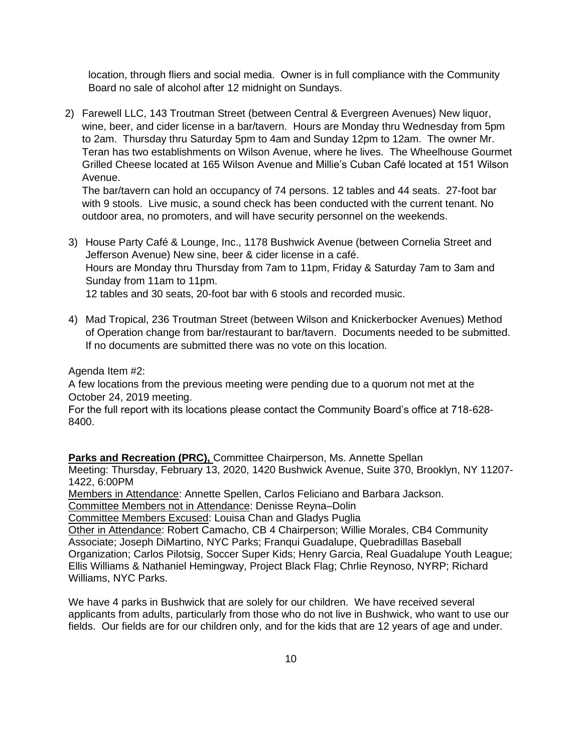location, through fliers and social media. Owner is in full compliance with the Community Board no sale of alcohol after 12 midnight on Sundays.

2) Farewell LLC, 143 Troutman Street (between Central & Evergreen Avenues) New liquor, wine, beer, and cider license in a bar/tavern. Hours are Monday thru Wednesday from 5pm to 2am. Thursday thru Saturday 5pm to 4am and Sunday 12pm to 12am. The owner Mr. Teran has two establishments on Wilson Avenue, where he lives. The Wheelhouse Gourmet Grilled Cheese located at 165 Wilson Avenue and Millie's Cuban Café located at 151 Wilson Avenue.

The bar/tavern can hold an occupancy of 74 persons. 12 tables and 44 seats. 27-foot bar with 9 stools. Live music, a sound check has been conducted with the current tenant. No outdoor area, no promoters, and will have security personnel on the weekends.

- 3) House Party Café & Lounge, Inc., 1178 Bushwick Avenue (between Cornelia Street and Jefferson Avenue) New sine, beer & cider license in a café. Hours are Monday thru Thursday from 7am to 11pm, Friday & Saturday 7am to 3am and Sunday from 11am to 11pm. 12 tables and 30 seats, 20-foot bar with 6 stools and recorded music.
- 4) Mad Tropical, 236 Troutman Street (between Wilson and Knickerbocker Avenues) Method of Operation change from bar/restaurant to bar/tavern. Documents needed to be submitted. If no documents are submitted there was no vote on this location.

Agenda Item #2:

A few locations from the previous meeting were pending due to a quorum not met at the October 24, 2019 meeting.

For the full report with its locations please contact the Community Board's office at 718-628- 8400.

**Parks and Recreation (PRC),** Committee Chairperson, Ms. Annette Spellan Meeting: Thursday, February 13, 2020, 1420 Bushwick Avenue, Suite 370, Brooklyn, NY 11207- 1422, 6:00PM

Members in Attendance: Annette Spellen, Carlos Feliciano and Barbara Jackson.

Committee Members not in Attendance: Denisse Reyna–Dolin

Committee Members Excused: Louisa Chan and Gladys Puglia

Other in Attendance: Robert Camacho, CB 4 Chairperson; Willie Morales, CB4 Community Associate; Joseph DiMartino, NYC Parks; Franqui Guadalupe, Quebradillas Baseball Organization; Carlos Pilotsig, Soccer Super Kids; Henry Garcia, Real Guadalupe Youth League; Ellis Williams & Nathaniel Hemingway, Project Black Flag; Chrlie Reynoso, NYRP; Richard Williams, NYC Parks.

We have 4 parks in Bushwick that are solely for our children. We have received several applicants from adults, particularly from those who do not live in Bushwick, who want to use our fields. Our fields are for our children only, and for the kids that are 12 years of age and under.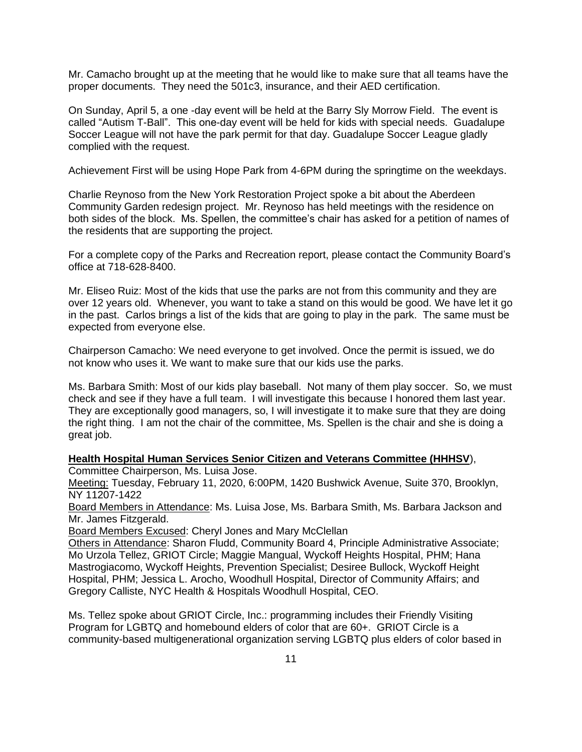Mr. Camacho brought up at the meeting that he would like to make sure that all teams have the proper documents. They need the 501c3, insurance, and their AED certification.

On Sunday, April 5, a one -day event will be held at the Barry Sly Morrow Field. The event is called "Autism T-Ball". This one-day event will be held for kids with special needs. Guadalupe Soccer League will not have the park permit for that day. Guadalupe Soccer League gladly complied with the request.

Achievement First will be using Hope Park from 4-6PM during the springtime on the weekdays.

Charlie Reynoso from the New York Restoration Project spoke a bit about the Aberdeen Community Garden redesign project. Mr. Reynoso has held meetings with the residence on both sides of the block. Ms. Spellen, the committee's chair has asked for a petition of names of the residents that are supporting the project.

For a complete copy of the Parks and Recreation report, please contact the Community Board's office at 718-628-8400.

Mr. Eliseo Ruiz: Most of the kids that use the parks are not from this community and they are over 12 years old. Whenever, you want to take a stand on this would be good. We have let it go in the past. Carlos brings a list of the kids that are going to play in the park. The same must be expected from everyone else.

Chairperson Camacho: We need everyone to get involved. Once the permit is issued, we do not know who uses it. We want to make sure that our kids use the parks.

Ms. Barbara Smith: Most of our kids play baseball. Not many of them play soccer. So, we must check and see if they have a full team. I will investigate this because I honored them last year. They are exceptionally good managers, so, I will investigate it to make sure that they are doing the right thing. I am not the chair of the committee, Ms. Spellen is the chair and she is doing a great job.

#### **Health Hospital Human Services Senior Citizen and Veterans Committee (HHHSV**), Committee Chairperson, Ms. Luisa Jose.

Meeting: Tuesday, February 11, 2020, 6:00PM, 1420 Bushwick Avenue, Suite 370, Brooklyn, NY 11207-1422

Board Members in Attendance: Ms. Luisa Jose, Ms. Barbara Smith, Ms. Barbara Jackson and Mr. James Fitzgerald.

Board Members Excused: Cheryl Jones and Mary McClellan

Others in Attendance: Sharon Fludd, Community Board 4, Principle Administrative Associate; Mo Urzola Tellez, GRIOT Circle; Maggie Mangual, Wyckoff Heights Hospital, PHM; Hana Mastrogiacomo, Wyckoff Heights, Prevention Specialist; Desiree Bullock, Wyckoff Height Hospital, PHM; Jessica L. Arocho, Woodhull Hospital, Director of Community Affairs; and Gregory Calliste, NYC Health & Hospitals Woodhull Hospital, CEO.

Ms. Tellez spoke about GRIOT Circle, Inc.: programming includes their Friendly Visiting Program for LGBTQ and homebound elders of color that are 60+. GRIOT Circle is a community-based multigenerational organization serving LGBTQ plus elders of color based in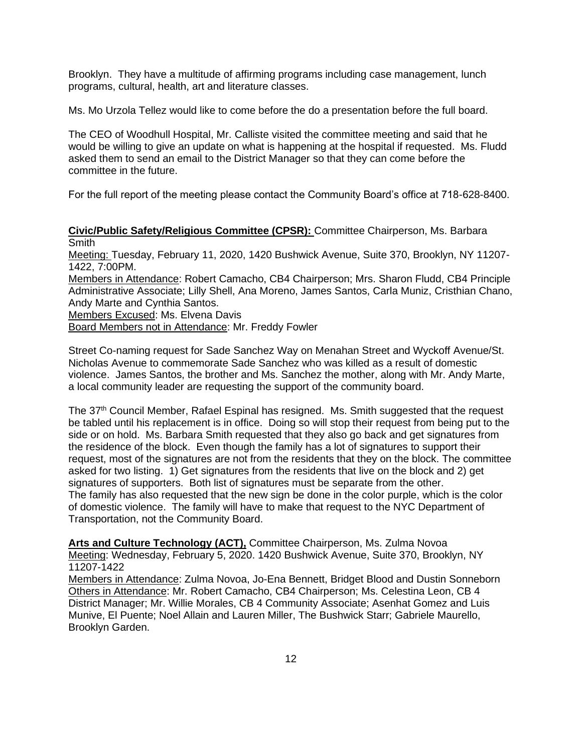Brooklyn. They have a multitude of affirming programs including case management, lunch programs, cultural, health, art and literature classes.

Ms. Mo Urzola Tellez would like to come before the do a presentation before the full board.

The CEO of Woodhull Hospital, Mr. Calliste visited the committee meeting and said that he would be willing to give an update on what is happening at the hospital if requested. Ms. Fludd asked them to send an email to the District Manager so that they can come before the committee in the future.

For the full report of the meeting please contact the Community Board's office at 718-628-8400.

**Civic/Public Safety/Religious Committee (CPSR):** Committee Chairperson, Ms. Barbara Smith

Meeting: Tuesday, February 11, 2020, 1420 Bushwick Avenue, Suite 370, Brooklyn, NY 11207- 1422, 7:00PM.

Members in Attendance: Robert Camacho, CB4 Chairperson; Mrs. Sharon Fludd, CB4 Principle Administrative Associate; Lilly Shell, Ana Moreno, James Santos, Carla Muniz, Cristhian Chano, Andy Marte and Cynthia Santos.

Members Excused: Ms. Elvena Davis

Board Members not in Attendance: Mr. Freddy Fowler

Street Co-naming request for Sade Sanchez Way on Menahan Street and Wyckoff Avenue/St. Nicholas Avenue to commemorate Sade Sanchez who was killed as a result of domestic violence. James Santos, the brother and Ms. Sanchez the mother, along with Mr. Andy Marte, a local community leader are requesting the support of the community board.

The 37<sup>th</sup> Council Member, Rafael Espinal has resigned. Ms. Smith suggested that the request be tabled until his replacement is in office. Doing so will stop their request from being put to the side or on hold. Ms. Barbara Smith requested that they also go back and get signatures from the residence of the block. Even though the family has a lot of signatures to support their request, most of the signatures are not from the residents that they on the block. The committee asked for two listing. 1) Get signatures from the residents that live on the block and 2) get signatures of supporters. Both list of signatures must be separate from the other. The family has also requested that the new sign be done in the color purple, which is the color of domestic violence. The family will have to make that request to the NYC Department of Transportation, not the Community Board.

**Arts and Culture Technology (ACT),** Committee Chairperson, Ms. Zulma Novoa Meeting: Wednesday, February 5, 2020. 1420 Bushwick Avenue, Suite 370, Brooklyn, NY 11207-1422

Members in Attendance: Zulma Novoa, Jo-Ena Bennett, Bridget Blood and Dustin Sonneborn Others in Attendance: Mr. Robert Camacho, CB4 Chairperson; Ms. Celestina Leon, CB 4 District Manager; Mr. Willie Morales, CB 4 Community Associate; Asenhat Gomez and Luis Munive, El Puente; Noel Allain and Lauren Miller, The Bushwick Starr; Gabriele Maurello, Brooklyn Garden.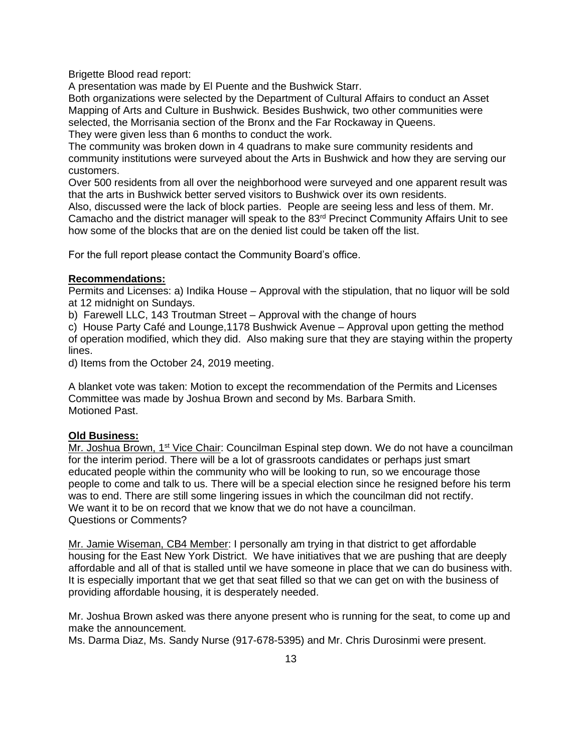Brigette Blood read report:

A presentation was made by El Puente and the Bushwick Starr.

Both organizations were selected by the Department of Cultural Affairs to conduct an Asset Mapping of Arts and Culture in Bushwick. Besides Bushwick, two other communities were selected, the Morrisania section of the Bronx and the Far Rockaway in Queens. They were given less than 6 months to conduct the work.

The community was broken down in 4 quadrans to make sure community residents and community institutions were surveyed about the Arts in Bushwick and how they are serving our customers.

Over 500 residents from all over the neighborhood were surveyed and one apparent result was that the arts in Bushwick better served visitors to Bushwick over its own residents.

Also, discussed were the lack of block parties. People are seeing less and less of them. Mr. Camacho and the district manager will speak to the  $83<sup>rd</sup>$  Precinct Community Affairs Unit to see how some of the blocks that are on the denied list could be taken off the list.

For the full report please contact the Community Board's office.

## **Recommendations:**

Permits and Licenses: a) Indika House – Approval with the stipulation, that no liquor will be sold at 12 midnight on Sundays.

b) Farewell LLC, 143 Troutman Street – Approval with the change of hours

c) House Party Café and Lounge,1178 Bushwick Avenue – Approval upon getting the method of operation modified, which they did. Also making sure that they are staying within the property lines.

d) Items from the October 24, 2019 meeting.

A blanket vote was taken: Motion to except the recommendation of the Permits and Licenses Committee was made by Joshua Brown and second by Ms. Barbara Smith. Motioned Past.

# **Old Business:**

Mr. Joshua Brown, 1<sup>st</sup> Vice Chair: Councilman Espinal step down. We do not have a councilman for the interim period. There will be a lot of grassroots candidates or perhaps just smart educated people within the community who will be looking to run, so we encourage those people to come and talk to us. There will be a special election since he resigned before his term was to end. There are still some lingering issues in which the councilman did not rectify. We want it to be on record that we know that we do not have a councilman. Questions or Comments?

Mr. Jamie Wiseman, CB4 Member: I personally am trying in that district to get affordable housing for the East New York District. We have initiatives that we are pushing that are deeply affordable and all of that is stalled until we have someone in place that we can do business with. It is especially important that we get that seat filled so that we can get on with the business of providing affordable housing, it is desperately needed.

Mr. Joshua Brown asked was there anyone present who is running for the seat, to come up and make the announcement.

Ms. Darma Diaz, Ms. Sandy Nurse (917-678-5395) and Mr. Chris Durosinmi were present.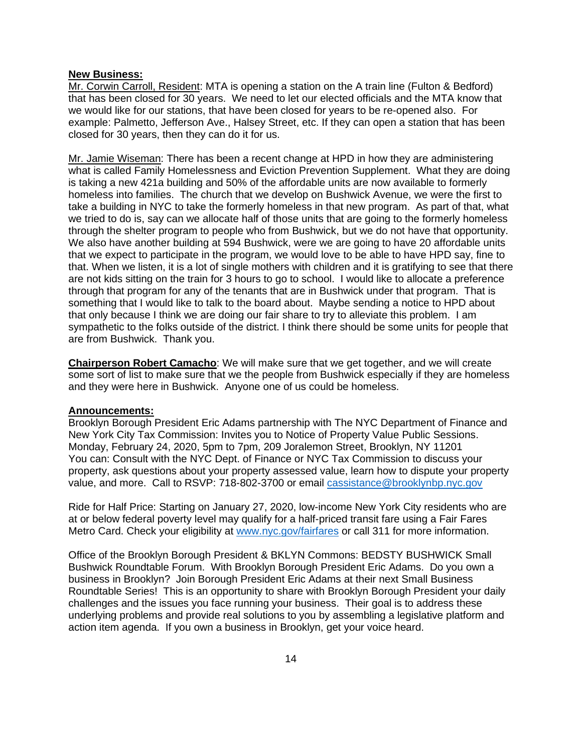#### **New Business:**

Mr. Corwin Carroll, Resident: MTA is opening a station on the A train line (Fulton & Bedford) that has been closed for 30 years. We need to let our elected officials and the MTA know that we would like for our stations, that have been closed for years to be re-opened also. For example: Palmetto, Jefferson Ave., Halsey Street, etc. If they can open a station that has been closed for 30 years, then they can do it for us.

Mr. Jamie Wiseman: There has been a recent change at HPD in how they are administering what is called Family Homelessness and Eviction Prevention Supplement. What they are doing is taking a new 421a building and 50% of the affordable units are now available to formerly homeless into families. The church that we develop on Bushwick Avenue, we were the first to take a building in NYC to take the formerly homeless in that new program. As part of that, what we tried to do is, say can we allocate half of those units that are going to the formerly homeless through the shelter program to people who from Bushwick, but we do not have that opportunity. We also have another building at 594 Bushwick, were we are going to have 20 affordable units that we expect to participate in the program, we would love to be able to have HPD say, fine to that. When we listen, it is a lot of single mothers with children and it is gratifying to see that there are not kids sitting on the train for 3 hours to go to school. I would like to allocate a preference through that program for any of the tenants that are in Bushwick under that program. That is something that I would like to talk to the board about. Maybe sending a notice to HPD about that only because I think we are doing our fair share to try to alleviate this problem. I am sympathetic to the folks outside of the district. I think there should be some units for people that are from Bushwick. Thank you.

**Chairperson Robert Camacho**: We will make sure that we get together, and we will create some sort of list to make sure that we the people from Bushwick especially if they are homeless and they were here in Bushwick. Anyone one of us could be homeless.

#### **Announcements:**

Brooklyn Borough President Eric Adams partnership with The NYC Department of Finance and New York City Tax Commission: Invites you to Notice of Property Value Public Sessions. Monday, February 24, 2020, 5pm to 7pm, 209 Joralemon Street, Brooklyn, NY 11201 You can: Consult with the NYC Dept. of Finance or NYC Tax Commission to discuss your property, ask questions about your property assessed value, learn how to dispute your property value, and more. Call to RSVP: 718-802-3700 or email [cassistance@brooklynbp.nyc.gov](mailto:cassistance@brooklynbp.nyc.gov)

Ride for Half Price: Starting on January 27, 2020, low-income New York City residents who are at or below federal poverty level may qualify for a half-priced transit fare using a Fair Fares Metro Card. Check your eligibility at [www.nyc.gov/fairfares](http://www.nyc.gov/fairfares) or call 311 for more information.

Office of the Brooklyn Borough President & BKLYN Commons: BEDSTY BUSHWICK Small Bushwick Roundtable Forum. With Brooklyn Borough President Eric Adams. Do you own a business in Brooklyn? Join Borough President Eric Adams at their next Small Business Roundtable Series! This is an opportunity to share with Brooklyn Borough President your daily challenges and the issues you face running your business. Their goal is to address these underlying problems and provide real solutions to you by assembling a legislative platform and action item agenda. If you own a business in Brooklyn, get your voice heard.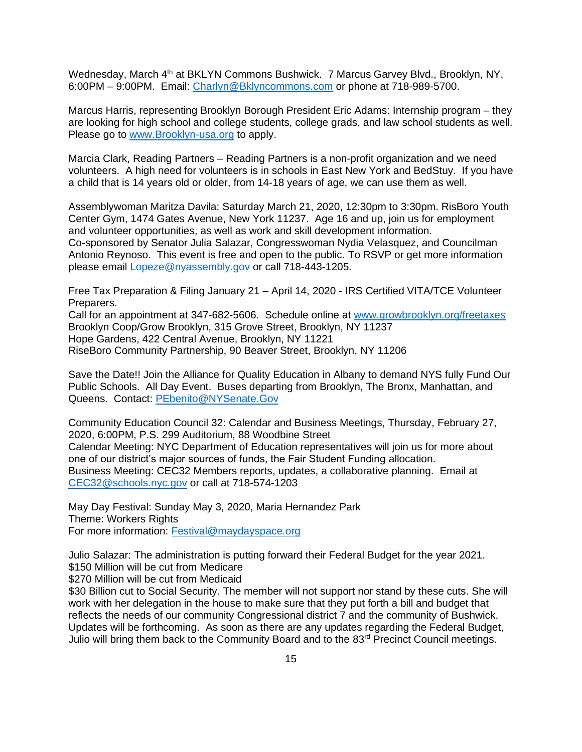Wednesday, March 4<sup>th</sup> at BKLYN Commons Bushwick. 7 Marcus Garvey Blvd., Brooklyn, NY. 6:00PM – 9:00PM. Email: [Charlyn@Bklyncommons.com](mailto:Charlyn@Bklyncommons.com) or phone at 718-989-5700.

Marcus Harris, representing Brooklyn Borough President Eric Adams: Internship program – they are looking for high school and college students, college grads, and law school students as well. Please go to [www.Brooklyn-usa.org](http://www.brooklyn-usa.org/) to apply.

Marcia Clark, Reading Partners – Reading Partners is a non-profit organization and we need volunteers. A high need for volunteers is in schools in East New York and BedStuy. If you have a child that is 14 years old or older, from 14-18 years of age, we can use them as well.

Assemblywoman Maritza Davila: Saturday March 21, 2020, 12:30pm to 3:30pm. RisBoro Youth Center Gym, 1474 Gates Avenue, New York 11237. Age 16 and up, join us for employment and volunteer opportunities, as well as work and skill development information. Co-sponsored by Senator Julia Salazar, Congresswoman Nydia Velasquez, and Councilman Antonio Reynoso. This event is free and open to the public. To RSVP or get more information please email [Lopeze@nyassembly.gov](mailto:Lopeze@nyassembly.gov) or call 718-443-1205.

Free Tax Preparation & Filing January 21 – April 14, 2020 - IRS Certified VITA/TCE Volunteer Preparers.

Call for an appointment at 347-682-5606. Schedule online at [www.growbrooklyn.org/freetaxes](http://www.growbrooklyn.org/freetaxes) Brooklyn Coop/Grow Brooklyn, 315 Grove Street, Brooklyn, NY 11237 Hope Gardens, 422 Central Avenue, Brooklyn, NY 11221 RiseBoro Community Partnership, 90 Beaver Street, Brooklyn, NY 11206

Save the Date!! Join the Alliance for Quality Education in Albany to demand NYS fully Fund Our Public Schools. All Day Event. Buses departing from Brooklyn, The Bronx, Manhattan, and Queens. Contact: [PEbenito@NYSenate.Gov](mailto:PEbenito@NYSenate.Gov)

Community Education Council 32: Calendar and Business Meetings, Thursday, February 27, 2020, 6:00PM, P.S. 299 Auditorium, 88 Woodbine Street Calendar Meeting: NYC Department of Education representatives will join us for more about one of our district's major sources of funds, the Fair Student Funding allocation. Business Meeting: CEC32 Members reports, updates, a collaborative planning. Email at [CEC32@schools.nyc.gov](mailto:CEC32@schools.nyc.gov) or call at 718-574-1203

May Day Festival: Sunday May 3, 2020, Maria Hernandez Park Theme: Workers Rights For more information: [Festival@maydayspace.org](mailto:Festival@maydayspace.org)

Julio Salazar: The administration is putting forward their Federal Budget for the year 2021. \$150 Million will be cut from Medicare

\$270 Million will be cut from Medicaid

\$30 Billion cut to Social Security. The member will not support nor stand by these cuts. She will work with her delegation in the house to make sure that they put forth a bill and budget that reflects the needs of our community Congressional district 7 and the community of Bushwick. Updates will be forthcoming. As soon as there are any updates regarding the Federal Budget, Julio will bring them back to the Community Board and to the 83<sup>rd</sup> Precinct Council meetings.